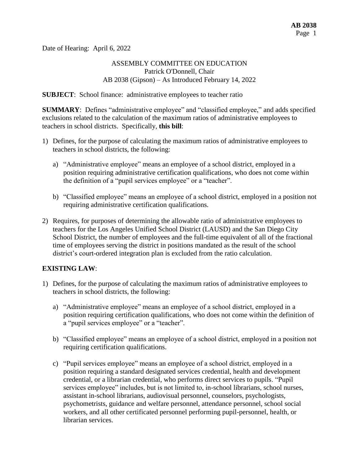Date of Hearing: April 6, 2022

## ASSEMBLY COMMITTEE ON EDUCATION Patrick O'Donnell, Chair AB 2038 (Gipson) – As Introduced February 14, 2022

**SUBJECT**: School finance: administrative employees to teacher ratio

**SUMMARY**: Defines "administrative employee" and "classified employee," and adds specified exclusions related to the calculation of the maximum ratios of administrative employees to teachers in school districts. Specifically, **this bill**:

- 1) Defines, for the purpose of calculating the maximum ratios of administrative employees to teachers in school districts, the following:
	- a) "Administrative employee" means an employee of a school district, employed in a position requiring administrative certification qualifications, who does not come within the definition of a "pupil services employee" or a "teacher".
	- b) "Classified employee" means an employee of a school district, employed in a position not requiring administrative certification qualifications.
- 2) Requires, for purposes of determining the allowable ratio of administrative employees to teachers for the Los Angeles Unified School District (LAUSD) and the San Diego City School District, the number of employees and the full-time equivalent of all of the fractional time of employees serving the district in positions mandated as the result of the school district's court-ordered integration plan is excluded from the ratio calculation.

## **EXISTING LAW**:

- 1) Defines, for the purpose of calculating the maximum ratios of administrative employees to teachers in school districts, the following:
	- a) "Administrative employee" means an employee of a school district, employed in a position requiring certification qualifications, who does not come within the definition of a "pupil services employee" or a "teacher".
	- b) "Classified employee" means an employee of a school district, employed in a position not requiring certification qualifications.
	- c) "Pupil services employee" means an employee of a school district, employed in a position requiring a standard designated services credential, health and development credential, or a librarian credential, who performs direct services to pupils. "Pupil services employee" includes, but is not limited to, in-school librarians, school nurses, assistant in-school librarians, audiovisual personnel, counselors, psychologists, psychometrists, guidance and welfare personnel, attendance personnel, school social workers, and all other certificated personnel performing pupil-personnel, health, or librarian services.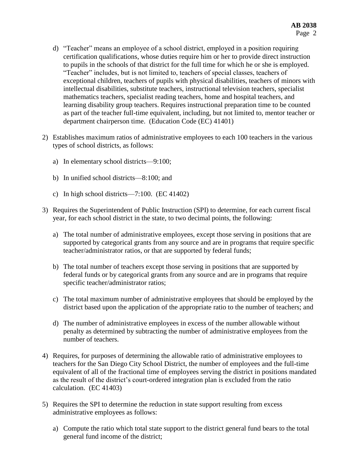- d) "Teacher" means an employee of a school district, employed in a position requiring certification qualifications, whose duties require him or her to provide direct instruction to pupils in the schools of that district for the full time for which he or she is employed. "Teacher" includes, but is not limited to, teachers of special classes, teachers of exceptional children, teachers of pupils with physical disabilities, teachers of minors with intellectual disabilities, substitute teachers, instructional television teachers, specialist mathematics teachers, specialist reading teachers, home and hospital teachers, and learning disability group teachers. Requires instructional preparation time to be counted as part of the teacher full-time equivalent, including, but not limited to, mentor teacher or department chairperson time. (Education Code (EC) 41401)
- 2) Establishes maximum ratios of administrative employees to each 100 teachers in the various types of school districts, as follows:
	- a) In elementary school districts—9:100;
	- b) In unified school districts—8:100; and
	- c) In high school districts—7:100. (EC 41402)
- 3) Requires the Superintendent of Public Instruction (SPI) to determine, for each current fiscal year, for each school district in the state, to two decimal points, the following:
	- a) The total number of administrative employees, except those serving in positions that are supported by categorical grants from any source and are in programs that require specific teacher/administrator ratios, or that are supported by federal funds;
	- b) The total number of teachers except those serving in positions that are supported by federal funds or by categorical grants from any source and are in programs that require specific teacher/administrator ratios;
	- c) The total maximum number of administrative employees that should be employed by the district based upon the application of the appropriate ratio to the number of teachers; and
	- d) The number of administrative employees in excess of the number allowable without penalty as determined by subtracting the number of administrative employees from the number of teachers.
- 4) Requires, for purposes of determining the allowable ratio of administrative employees to teachers for the San Diego City School District, the number of employees and the full-time equivalent of all of the fractional time of employees serving the district in positions mandated as the result of the district's court-ordered integration plan is excluded from the ratio calculation. (EC 41403)
- 5) Requires the SPI to determine the reduction in state support resulting from excess administrative employees as follows:
	- a) Compute the ratio which total state support to the district general fund bears to the total general fund income of the district;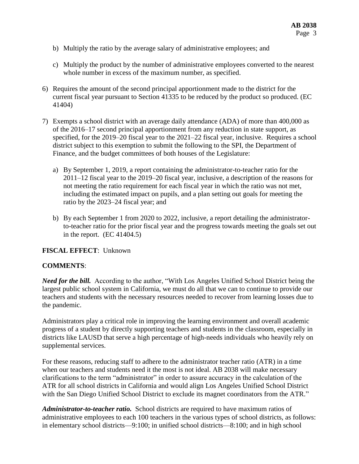- b) Multiply the ratio by the average salary of administrative employees; and
- c) Multiply the product by the number of administrative employees converted to the nearest whole number in excess of the maximum number, as specified.
- 6) Requires the amount of the second principal apportionment made to the district for the current fiscal year pursuant to Section 41335 to be reduced by the product so produced. (EC 41404)
- 7) Exempts a school district with an average daily attendance (ADA) of more than 400,000 as of the 2016–17 second principal apportionment from any reduction in state support, as specified, for the 2019–20 fiscal year to the 2021–22 fiscal year, inclusive. Requires a school district subject to this exemption to submit the following to the SPI, the Department of Finance, and the budget committees of both houses of the Legislature:
	- a) By September 1, 2019, a report containing the administrator-to-teacher ratio for the 2011–12 fiscal year to the 2019–20 fiscal year, inclusive, a description of the reasons for not meeting the ratio requirement for each fiscal year in which the ratio was not met, including the estimated impact on pupils, and a plan setting out goals for meeting the ratio by the 2023–24 fiscal year; and
	- b) By each September 1 from 2020 to 2022, inclusive, a report detailing the administratorto-teacher ratio for the prior fiscal year and the progress towards meeting the goals set out in the report. (EC 41404.5)

#### **FISCAL EFFECT**: Unknown

## **COMMENTS**:

*Need for the bill.* According to the author, "With Los Angeles Unified School District being the largest public school system in California, we must do all that we can to continue to provide our teachers and students with the necessary resources needed to recover from learning losses due to the pandemic.

Administrators play a critical role in improving the learning environment and overall academic progress of a student by directly supporting teachers and students in the classroom, especially in districts like LAUSD that serve a high percentage of high-needs individuals who heavily rely on supplemental services.

For these reasons, reducing staff to adhere to the administrator teacher ratio (ATR) in a time when our teachers and students need it the most is not ideal. AB 2038 will make necessary clarifications to the term "administrator" in order to assure accuracy in the calculation of the ATR for all school districts in California and would align Los Angeles Unified School District with the San Diego Unified School District to exclude its magnet coordinators from the ATR."

*Administrator-to-teacher ratio.* School districts are required to have maximum ratios of administrative employees to each 100 teachers in the various types of school districts, as follows: in elementary school districts—9:100; in unified school districts—8:100; and in high school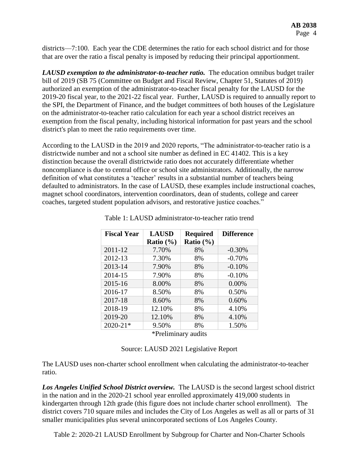districts—7:100. Each year the CDE determines the ratio for each school district and for those that are over the ratio a fiscal penalty is imposed by reducing their principal apportionment.

*LAUSD exemption to the administrator-to-teacher ratio.* The education omnibus budget trailer bill of 2019 (SB 75 (Committee on Budget and Fiscal Review, Chapter 51, Statutes of 2019) authorized an exemption of the administrator-to-teacher fiscal penalty for the LAUSD for the 2019-20 fiscal year, to the 2021-22 fiscal year. Further, LAUSD is required to annually report to the SPI, the Department of Finance, and the budget committees of both houses of the Legislature on the administrator-to-teacher ratio calculation for each year a school district receives an exemption from the fiscal penalty, including historical information for past years and the school district's plan to meet the ratio requirements over time.

According to the LAUSD in the 2019 and 2020 reports, "The administrator-to-teacher ratio is a districtwide number and not a school site number as defined in EC 41402. This is a key distinction because the overall districtwide ratio does not accurately differentiate whether noncompliance is due to central office or school site administrators. Additionally, the narrow definition of what constitutes a 'teacher' results in a substantial number of teachers being defaulted to administrators. In the case of LAUSD, these examples include instructional coaches, magnet school coordinators, intervention coordinators, dean of students, college and career coaches, targeted student population advisors, and restorative justice coaches."

| <b>Fiscal Year</b> | <b>LAUSD</b>  | <b>Required</b> | <b>Difference</b> |
|--------------------|---------------|-----------------|-------------------|
|                    | Ratio $(\% )$ | Ratio $(\% )$   |                   |
| 2011-12            | 7.70%         | 8%              | $-0.30%$          |
| 2012-13            | 7.30%         | 8%              | $-0.70%$          |
| 2013-14            | 7.90%         | 8%              | $-0.10%$          |
| 2014-15            | 7.90%         | 8%              | $-0.10%$          |
| 2015-16            | 8.00%         | 8%              | 0.00%             |
| 2016-17            | 8.50%         | 8%              | 0.50%             |
| 2017-18            | 8.60%         | 8%              | 0.60%             |
| 2018-19            | 12.10%        | 8%              | 4.10%             |
| 2019-20            | 12.10%        | 8%              | 4.10%             |
| $2020 - 21*$       | 9.50%         | 8%              | 1.50%             |
|                    | $4\,$ m $1'$  | $\mathbf{1}$ .  |                   |

Table 1: LAUSD administrator-to-teacher ratio trend

\*Preliminary audits

|  |  |  | Source: LAUSD 2021 Legislative Report |  |
|--|--|--|---------------------------------------|--|
|--|--|--|---------------------------------------|--|

The LAUSD uses non-charter school enrollment when calculating the administrator-to-teacher ratio.

*Los Angeles Unified School District overview.* The LAUSD is the second largest school district in the nation and in the 2020-21 school year enrolled approximately 419,000 students in kindergarten through 12th grade (this figure does not include charter school enrollment). The district covers 710 square miles and includes the City of Los Angeles as well as all or parts of 31 smaller municipalities plus several unincorporated sections of Los Angeles County.

Table 2: 2020-21 LAUSD Enrollment by Subgroup for Charter and Non-Charter Schools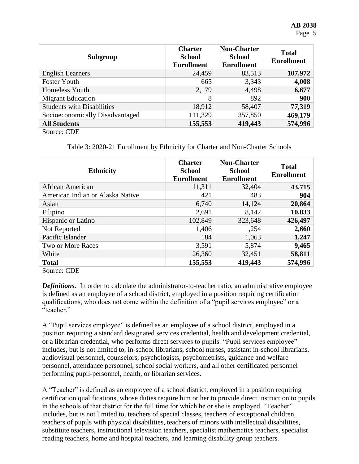| Subgroup                          | <b>Charter</b><br><b>School</b><br><b>Enrollment</b> | <b>Non-Charter</b><br><b>School</b><br><b>Enrollment</b> | <b>Total</b><br><b>Enrollment</b> |
|-----------------------------------|------------------------------------------------------|----------------------------------------------------------|-----------------------------------|
| <b>English Learners</b>           | 24,459                                               | 83,513                                                   | 107,972                           |
| <b>Foster Youth</b>               | 665                                                  | 3,343                                                    | 4,008                             |
| Homeless Youth                    | 2,179                                                | 4,498                                                    | 6,677                             |
| <b>Migrant Education</b>          | 8                                                    | 892                                                      | 900                               |
| <b>Students with Disabilities</b> | 18,912                                               | 58,407                                                   | 77,319                            |
| Socioeconomically Disadvantaged   | 111,329                                              | 357,850                                                  | 469,179                           |
| <b>All Students</b>               | 155,553                                              | 419,443                                                  | 574,996                           |
| Source: CDE                       |                                                      |                                                          |                                   |

Table 3: 2020-21 Enrollment by Ethnicity for Charter and Non-Charter Schools

| <b>Ethnicity</b>                 | <b>Charter</b><br><b>School</b><br><b>Enrollment</b> | <b>Non-Charter</b><br><b>School</b><br><b>Enrollment</b> | <b>Total</b><br><b>Enrollment</b> |
|----------------------------------|------------------------------------------------------|----------------------------------------------------------|-----------------------------------|
| African American                 | 11,311                                               | 32,404                                                   | 43,715                            |
| American Indian or Alaska Native | 421                                                  | 483                                                      | 904                               |
| Asian                            | 6,740                                                | 14,124                                                   | 20,864                            |
| Filipino                         | 2,691                                                | 8,142                                                    | 10,833                            |
| Hispanic or Latino               | 102,849                                              | 323,648                                                  | 426,497                           |
| Not Reported                     | 1,406                                                | 1,254                                                    | 2,660                             |
| Pacific Islander                 | 184                                                  | 1,063                                                    | 1,247                             |
| Two or More Races                | 3,591                                                | 5,874                                                    | 9,465                             |
| White                            | 26,360                                               | 32,451                                                   | 58,811                            |
| <b>Total</b>                     | 155,553                                              | 419,443                                                  | 574,996                           |

Source: CDE

*Definitions.* In order to calculate the administrator-to-teacher ratio, an administrative employee is defined as an employee of a school district, employed in a position requiring certification qualifications, who does not come within the definition of a "pupil services employee" or a "teacher."

A "Pupil services employee" is defined as an employee of a school district, employed in a position requiring a standard designated services credential, health and development credential, or a librarian credential, who performs direct services to pupils. "Pupil services employee" includes, but is not limited to, in-school librarians, school nurses, assistant in-school librarians, audiovisual personnel, counselors, psychologists, psychometrists, guidance and welfare personnel, attendance personnel, school social workers, and all other certificated personnel performing pupil-personnel, health, or librarian services.

A "Teacher" is defined as an employee of a school district, employed in a position requiring certification qualifications, whose duties require him or her to provide direct instruction to pupils in the schools of that district for the full time for which he or she is employed. "Teacher" includes, but is not limited to, teachers of special classes, teachers of exceptional children, teachers of pupils with physical disabilities, teachers of minors with intellectual disabilities, substitute teachers, instructional television teachers, specialist mathematics teachers, specialist reading teachers, home and hospital teachers, and learning disability group teachers.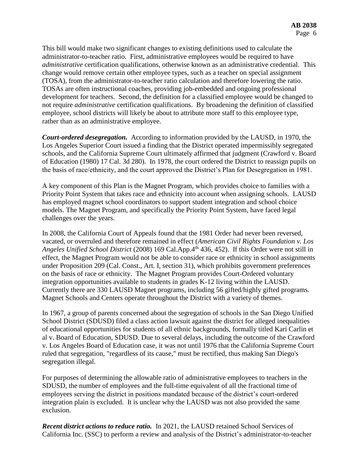This bill would make two significant changes to existing definitions used to calculate the administrator-to-teacher ratio. First, administrative employees would be required to have *administrative* certification qualifications, otherwise known as an administrative credential. This change would remove certain other employee types, such as a teacher on special assignment (TOSA), from the administrator-to-teacher ratio calculation and therefore lowering the ratio. TOSAs are often instructional coaches, providing job-embedded and ongoing professional development for teachers. Second, the definition for a classified employee would be changed to not require *administrative* certification qualifications. By broadening the definition of classified employee, school districts will likely be about to attribute more staff to this employee type, rather than as an administrative employee.

*Court-ordered desegregation.* According to information provided by the LAUSD, in 1970, the Los Angeles Superior Court issued a finding that the District operated impermissibly segregated schools, and the California Supreme Court ultimately affirmed that judgment (Crawford v. Board of Education (1980) 17 Cal. 3d 280). In 1978, the court ordered the District to reassign pupils on the basis of race/ethnicity, and the court approved the District's Plan for Desegregation in 1981.

A key component of this Plan is the Magnet Program, which provides choice to families with a Priority Point System that takes race and ethnicity into account when assigning schools. LAUSD has employed magnet school coordinators to support student integration and school choice models. The Magnet Program, and specifically the Priority Point System, have faced legal challenges over the years.

In 2008, the California Court of Appeals found that the 1981 Order had never been reversed, vacated, or overruled and therefore remained in effect (*American Civil Rights Foundation v. Los Angeles Unified School District* (2008) 169 Cal.App.4th 436, 452). If this Order were not still in effect, the Magnet Program would not be able to consider race or ethnicity in school assignments under Proposition 209 (Cal. Const., Art. I, section 31), which prohibits government preferences on the basis of race or ethnicity. The Magnet Program provides Court-Ordered voluntary integration opportunities available to students in grades K-12 living within the LAUSD. Currently there are 330 LAUSD Magnet programs, including 56 gifted/highly gifted programs. Magnet Schools and Centers operate throughout the District with a variety of themes.

In 1967, a group of parents concerned about the segregation of schools in the San Diego Unified School District (SDUSD) filed a class action lawsuit against the district for alleged inequalities of educational opportunities for students of all ethnic backgrounds, formally titled Kari Carlin et al v. Board of Education, SDUSD. Due to several delays, including the outcome of the Crawford v. Los Angeles Board of Education case, it was not until 1976 that the California Supreme Court ruled that segregation, "regardless of its cause," must be rectified, thus making San Diego's segregation illegal.

For purposes of determining the allowable ratio of administrative employees to teachers in the SDUSD, the number of employees and the full-time equivalent of all the fractional time of employees serving the district in positions mandated because of the district's court-ordered integration plain is excluded. It is unclear why the LAUSD was not also provided the same exclusion.

*Recent district actions to reduce ratio.* In 2021, the LAUSD retained School Services of California Inc. (SSC) to perform a review and analysis of the District's administrator-to-teacher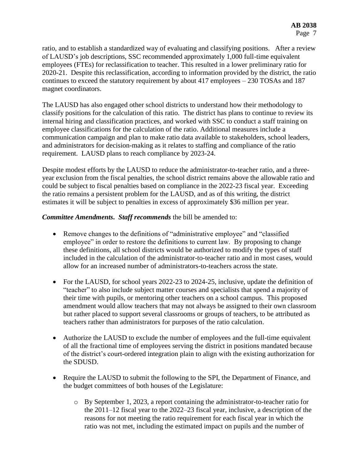ratio, and to establish a standardized way of evaluating and classifying positions. After a review of LAUSD's job descriptions, SSC recommended approximately 1,000 full-time equivalent employees (FTEs) for reclassification to teacher. This resulted in a lower preliminary ratio for 2020-21. Despite this reclassification, according to information provided by the district, the ratio continues to exceed the statutory requirement by about 417 employees – 230 TOSAs and 187 magnet coordinators.

The LAUSD has also engaged other school districts to understand how their methodology to classify positions for the calculation of this ratio. The district has plans to continue to review its internal hiring and classification practices, and worked with SSC to conduct a staff training on employee classifications for the calculation of the ratio. Additional measures include a communication campaign and plan to make ratio data available to stakeholders, school leaders, and administrators for decision-making as it relates to staffing and compliance of the ratio requirement. LAUSD plans to reach compliance by 2023-24.

Despite modest efforts by the LAUSD to reduce the administrator-to-teacher ratio, and a threeyear exclusion from the fiscal penalties, the school district remains above the allowable ratio and could be subject to fiscal penalties based on compliance in the 2022-23 fiscal year. Exceeding the ratio remains a persistent problem for the LAUSD, and as of this writing, the district estimates it will be subject to penalties in excess of approximately \$36 million per year.

## *Committee Amendments***.** *Staff recommends* the bill be amended to:

- Remove changes to the definitions of "administrative employee" and "classified employee" in order to restore the definitions to current law. By proposing to change these definitions, all school districts would be authorized to modify the types of staff included in the calculation of the administrator-to-teacher ratio and in most cases, would allow for an increased number of administrators-to-teachers across the state.
- For the LAUSD, for school years 2022-23 to 2024-25, inclusive, update the definition of "teacher" to also include subject matter courses and specialists that spend a majority of their time with pupils, or mentoring other teachers on a school campus. This proposed amendment would allow teachers that may not always be assigned to their own classroom but rather placed to support several classrooms or groups of teachers, to be attributed as teachers rather than administrators for purposes of the ratio calculation.
- Authorize the LAUSD to exclude the number of employees and the full-time equivalent of all the fractional time of employees serving the district in positions mandated because of the district's court-ordered integration plain to align with the existing authorization for the SDUSD.
- Require the LAUSD to submit the following to the SPI, the Department of Finance, and the budget committees of both houses of the Legislature:
	- o By September 1, 2023, a report containing the administrator-to-teacher ratio for the 2011–12 fiscal year to the 2022–23 fiscal year, inclusive, a description of the reasons for not meeting the ratio requirement for each fiscal year in which the ratio was not met, including the estimated impact on pupils and the number of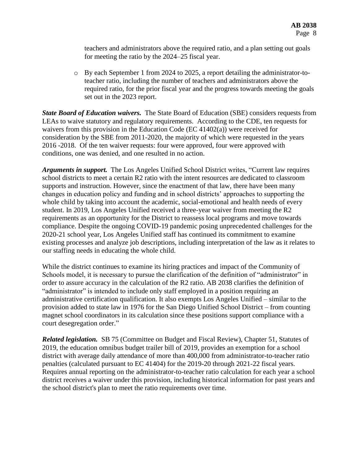teachers and administrators above the required ratio, and a plan setting out goals for meeting the ratio by the 2024–25 fiscal year.

o By each September 1 from 2024 to 2025, a report detailing the administrator-toteacher ratio, including the number of teachers and administrators above the required ratio, for the prior fiscal year and the progress towards meeting the goals set out in the 2023 report.

*State Board of Education waivers.* The State Board of Education (SBE) considers requests from LEAs to waive statutory and regulatory requirements. According to the CDE, ten requests for waivers from this provision in the Education Code (EC 41402(a)) were received for consideration by the SBE from 2011-2020, the majority of which were requested in the years 2016 -2018. Of the ten waiver requests: four were approved, four were approved with conditions, one was denied, and one resulted in no action.

*Arguments in support.* The Los Angeles Unified School District writes, "Current law requires school districts to meet a certain R2 ratio with the intent resources are dedicated to classroom supports and instruction. However, since the enactment of that law, there have been many changes in education policy and funding and in school districts' approaches to supporting the whole child by taking into account the academic, social-emotional and health needs of every student. In 2019, Los Angeles Unified received a three-year waiver from meeting the R2 requirements as an opportunity for the District to reassess local programs and move towards compliance. Despite the ongoing COVID-19 pandemic posing unprecedented challenges for the 2020-21 school year, Los Angeles Unified staff has continued its commitment to examine existing processes and analyze job descriptions, including interpretation of the law as it relates to our staffing needs in educating the whole child.

While the district continues to examine its hiring practices and impact of the Community of Schools model, it is necessary to pursue the clarification of the definition of "administrator" in order to assure accuracy in the calculation of the R2 ratio. AB 2038 clarifies the definition of "administrator" is intended to include only staff employed in a position requiring an administrative certification qualification. It also exempts Los Angeles Unified – similar to the provision added to state law in 1976 for the San Diego Unified School District – from counting magnet school coordinators in its calculation since these positions support compliance with a court desegregation order."

*Related legislation.* SB 75 (Committee on Budget and Fiscal Review), Chapter 51, Statutes of 2019, the education omnibus budget trailer bill of 2019, provides an exemption for a school district with average daily attendance of more than 400,000 from administrator-to-teacher ratio penalties (calculated pursuant to EC 41404) for the 2019-20 through 2021-22 fiscal years. Requires annual reporting on the administrator-to-teacher ratio calculation for each year a school district receives a waiver under this provision, including historical information for past years and the school district's plan to meet the ratio requirements over time.